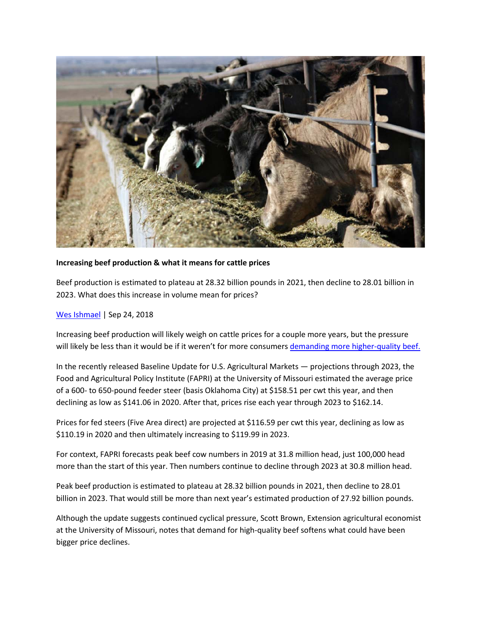

## **Increasing beef production & what it means for cattle prices**

Beef production is estimated to plateau at 28.32 billion pounds in 2021, then decline to 28.01 billion in 2023. What does this increase in volume mean for prices?

## [Wes Ishmael](https://www.beefmagazine.com/author/wes-ishmael) | Sep 24, 2018

Increasing beef production will likely weigh on cattle prices for a couple more years, but the pressure will likely be less than it would be if it weren't for more consumers [demanding more higher-quality beef.](http://www.beefmagazine.com/beef-quality/beef-s-taste-keeps-it-demand-forefront)

In the recently released Baseline Update for U.S. Agricultural Markets — projections through 2023, the Food and Agricultural Policy Institute (FAPRI) at the University of Missouri estimated the average price of a 600- to 650-pound feeder steer (basis Oklahoma City) at \$158.51 per cwt this year, and then declining as low as \$141.06 in 2020. After that, prices rise each year through 2023 to \$162.14.

Prices for fed steers (Five Area direct) are projected at \$116.59 per cwt this year, declining as low as \$110.19 in 2020 and then ultimately increasing to \$119.99 in 2023.

For context, FAPRI forecasts peak beef cow numbers in 2019 at 31.8 million head, just 100,000 head more than the start of this year. Then numbers continue to decline through 2023 at 30.8 million head.

Peak beef production is estimated to plateau at 28.32 billion pounds in 2021, then decline to 28.01 billion in 2023. That would still be more than next year's estimated production of 27.92 billion pounds.

Although the update suggests continued cyclical pressure, Scott Brown, Extension agricultural economist at the University of Missouri, notes that demand for high-quality beef softens what could have been bigger price declines.